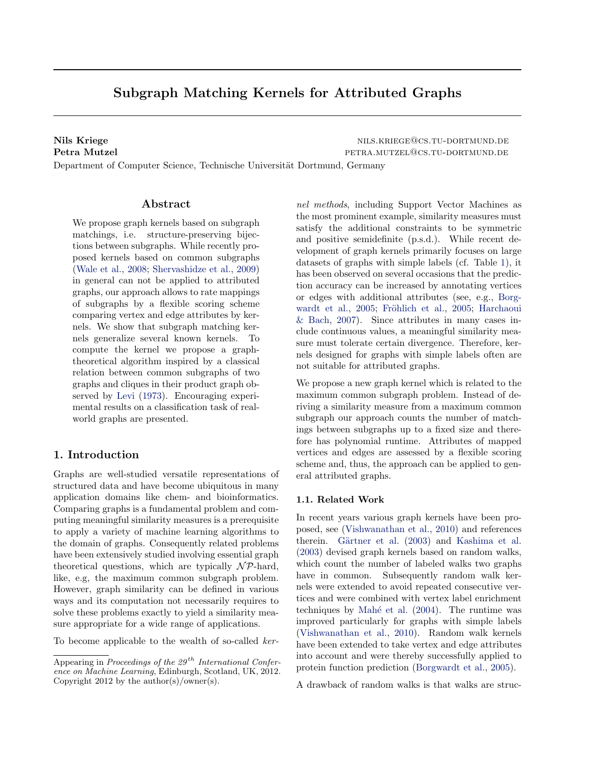# Subgraph Matching Kernels for Attributed Graphs

Nils Kriege nils.kriege nils.kriege nils.kriege@cs.tu-dortmund.de Petra Mutzel **Petra.mutzel petra.mutzel** petra.mutzel petra.mutzel petra.mutzel petra.mutzel petra.mutzel petra.mutzel petra.mutzel petra.mutzel petra.mutzel petra.mutzel petra.mutzel petra.mutzel petra.mutzel petra.mutzel Department of Computer Science, Technische Universität Dortmund, Germany

## Abstract

We propose graph kernels based on subgraph matchings, i.e. structure-preserving bijections between subgraphs. While recently proposed kernels based on common subgraphs [\(Wale et al.,](#page-7-0) [2008;](#page-7-0) [Shervashidze et al.,](#page-7-0) [2009\)](#page-7-0) in general can not be applied to attributed graphs, our approach allows to rate mappings of subgraphs by a flexible scoring scheme comparing vertex and edge attributes by kernels. We show that subgraph matching kernels generalize several known kernels. To compute the kernel we propose a graphtheoretical algorithm inspired by a classical relation between common subgraphs of two graphs and cliques in their product graph observed by [Levi](#page-7-0) [\(1973\)](#page-7-0). Encouraging experimental results on a classification task of realworld graphs are presented.

# 1. Introduction

Graphs are well-studied versatile representations of structured data and have become ubiquitous in many application domains like chem- and bioinformatics. Comparing graphs is a fundamental problem and computing meaningful similarity measures is a prerequisite to apply a variety of machine learning algorithms to the domain of graphs. Consequently related problems have been extensively studied involving essential graph theoretical questions, which are typically  $\mathcal{NP}$ -hard, like, e.g, the maximum common subgraph problem. However, graph similarity can be defined in various ways and its computation not necessarily requires to solve these problems exactly to yield a similarity measure appropriate for a wide range of applications.

To become applicable to the wealth of so-called ker-

nel methods, including Support Vector Machines as the most prominent example, similarity measures must satisfy the additional constraints to be symmetric and positive semidefinite (p.s.d.). While recent development of graph kernels primarily focuses on large datasets of graphs with simple labels (cf. Table [1\)](#page-1-0), it has been observed on several occasions that the prediction accuracy can be increased by annotating vertices or edges with additional attributes (see, e.g., [Borg](#page-6-0)[wardt et al.,](#page-6-0) [2005;](#page-7-0) Fröhlich et al., 2005; [Harchaoui](#page-7-0) [& Bach,](#page-7-0) [2007\)](#page-7-0). Since attributes in many cases include continuous values, a meaningful similarity measure must tolerate certain divergence. Therefore, kernels designed for graphs with simple labels often are not suitable for attributed graphs.

We propose a new graph kernel which is related to the maximum common subgraph problem. Instead of deriving a similarity measure from a maximum common subgraph our approach counts the number of matchings between subgraphs up to a fixed size and therefore has polynomial runtime. Attributes of mapped vertices and edges are assessed by a flexible scoring scheme and, thus, the approach can be applied to general attributed graphs.

#### 1.1. Related Work

In recent years various graph kernels have been proposed, see [\(Vishwanathan et al.,](#page-7-0) [2010\)](#page-7-0) and references therein. Gärtner et al. [\(2003\)](#page-7-0) and [Kashima et al.](#page-7-0) [\(2003\)](#page-7-0) devised graph kernels based on random walks, which count the number of labeled walks two graphs have in common. Subsequently random walk kernels were extended to avoid repeated consecutive vertices and were combined with vertex label enrichment techniques by Mahé et al.  $(2004)$ . The runtime was improved particularly for graphs with simple labels [\(Vishwanathan et al.,](#page-7-0) [2010\)](#page-7-0). Random walk kernels have been extended to take vertex and edge attributes into account and were thereby successfully applied to protein function prediction [\(Borgwardt et al.,](#page-6-0) [2005\)](#page-6-0).

A drawback of random walks is that walks are struc-

Appearing in Proceedings of the  $29^{th}$  International Conference on Machine Learning, Edinburgh, Scotland, UK, 2012. Copyright 2012 by the author(s)/owner(s).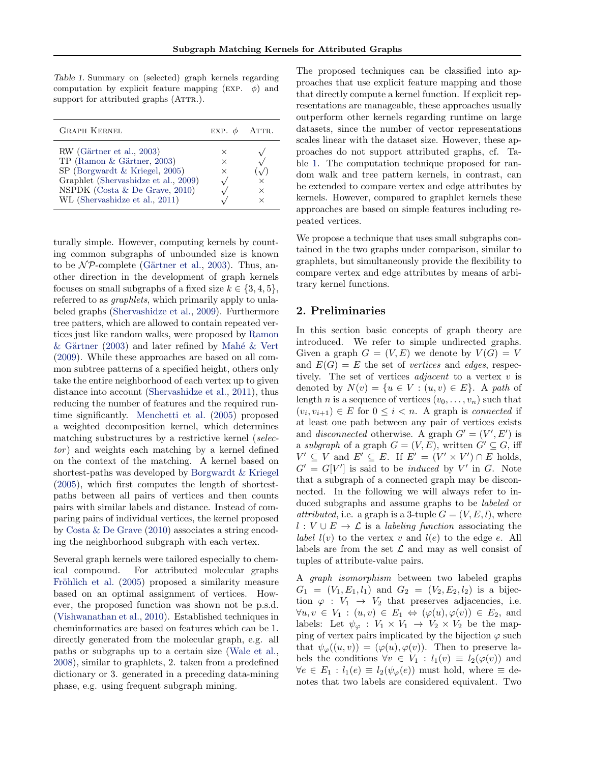<span id="page-1-0"></span>Table 1. Summary on (selected) graph kernels regarding computation by explicit feature mapping (EXP.  $\phi$ ) and support for attributed graphs (ATTR.).

| <b>GRAPH KERNEL</b>                                                                                                                                                                                     | EXP. $\phi$ ATTR.         |   |
|---------------------------------------------------------------------------------------------------------------------------------------------------------------------------------------------------------|---------------------------|---|
| RW (Gärtner et al., 2003)<br>TP (Ramon & Gärtner, 2003)<br>SP (Borgwardt & Kriegel, 2005)<br>Graphlet (Shervashidze et al., 2009)<br>NSPDK (Costa $&$ De Grave, 2010)<br>WL (Shervashidze et al., 2011) | $\times$<br>$\times$<br>× | × |

turally simple. However, computing kernels by counting common subgraphs of unbounded size is known to be  $\mathcal{NP}$ -complete (Gärtner et al., [2003\)](#page-7-0). Thus, another direction in the development of graph kernels focuses on small subgraphs of a fixed size  $k \in \{3, 4, 5\},\$ referred to as graphlets, which primarily apply to unlabeled graphs [\(Shervashidze et al.,](#page-7-0) [2009\)](#page-7-0). Furthermore tree patters, which are allowed to contain repeated vertices just like random walks, were proposed by [Ramon](#page-7-0)  $& Gärtner (2003)$  $& Gärtner (2003)$  and later refined by Mahé  $& Vert$ [\(2009\)](#page-7-0). While these approaches are based on all common subtree patterns of a specified height, others only take the entire neighborhood of each vertex up to given distance into account [\(Shervashidze et al.,](#page-7-0) [2011\)](#page-7-0), thus reducing the number of features and the required runtime significantly. [Menchetti et al.](#page-7-0) [\(2005\)](#page-7-0) proposed a weighted decomposition kernel, which determines matching substructures by a restrictive kernel (selec $tor$ ) and weights each matching by a kernel defined on the context of the matching. A kernel based on shortest-paths was developed by [Borgwardt & Kriegel](#page-6-0) [\(2005\)](#page-6-0), which first computes the length of shortestpaths between all pairs of vertices and then counts pairs with similar labels and distance. Instead of comparing pairs of individual vertices, the kernel proposed by [Costa & De Grave](#page-7-0) [\(2010\)](#page-7-0) associates a string encoding the neighborhood subgraph with each vertex.

Several graph kernels were tailored especially to chemical compound. For attributed molecular graphs Fröhlich et al. [\(2005\)](#page-7-0) proposed a similarity measure based on an optimal assignment of vertices. However, the proposed function was shown not be p.s.d. [\(Vishwanathan et al.,](#page-7-0) [2010\)](#page-7-0). Established techniques in cheminformatics are based on features which can be 1. directly generated from the molecular graph, e.g. all paths or subgraphs up to a certain size [\(Wale et al.,](#page-7-0) [2008\)](#page-7-0), similar to graphlets, 2. taken from a predefined dictionary or 3. generated in a preceding data-mining phase, e.g. using frequent subgraph mining.

The proposed techniques can be classified into approaches that use explicit feature mapping and those that directly compute a kernel function. If explicit representations are manageable, these approaches usually outperform other kernels regarding runtime on large datasets, since the number of vector representations scales linear with the dataset size. However, these approaches do not support attributed graphs, cf. Table 1. The computation technique proposed for random walk and tree pattern kernels, in contrast, can be extended to compare vertex and edge attributes by kernels. However, compared to graphlet kernels these approaches are based on simple features including repeated vertices.

We propose a technique that uses small subgraphs contained in the two graphs under comparison, similar to graphlets, but simultaneously provide the flexibility to compare vertex and edge attributes by means of arbitrary kernel functions.

## 2. Preliminaries

In this section basic concepts of graph theory are introduced. We refer to simple undirected graphs. Given a graph  $G = (V, E)$  we denote by  $V(G) = V$ and  $E(G) = E$  the set of vertices and edges, respectively. The set of vertices *adjacent* to a vertex  $v$  is denoted by  $N(v) = \{u \in V : (u, v) \in E\}$ . A path of length *n* is a sequence of vertices  $(v_0, \ldots, v_n)$  such that  $(v_i, v_{i+1}) \in E$  for  $0 \leq i < n$ . A graph is *connected* if at least one path between any pair of vertices exists and *disconnected* otherwise. A graph  $G' = (V', E')$  is a subgraph of a graph  $G = (V, E)$ , written  $G' \subseteq G$ , iff  $V' \subseteq V$  and  $E' \subseteq E$ . If  $E' = (V' \times V') \cap E$  holds,  $G' = G[V']$  is said to be *induced* by V' in G. Note that a subgraph of a connected graph may be disconnected. In the following we will always refer to induced subgraphs and assume graphs to be labeled or *attributed*, i.e. a graph is a 3-tuple  $G = (V, E, l)$ , where  $l: V \cup E \rightarrow \mathcal{L}$  is a labeling function associating the label  $l(v)$  to the vertex v and  $l(e)$  to the edge e. All labels are from the set  $\mathcal L$  and may as well consist of tuples of attribute-value pairs.

A graph isomorphism between two labeled graphs  $G_1 = (V_1, E_1, l_1)$  and  $G_2 = (V_2, E_2, l_2)$  is a bijection  $\varphi : V_1 \to V_2$  that preserves adjacencies, i.e.  $\forall u, v \in V_1 : (u, v) \in E_1 \Leftrightarrow (\varphi(u), \varphi(v)) \in E_2$ , and labels: Let  $\psi_{\varphi}: V_1 \times V_1 \to V_2 \times V_2$  be the mapping of vertex pairs implicated by the bijection  $\varphi$  such that  $\psi_{\varphi}((u, v)) = (\varphi(u), \varphi(v))$ . Then to preserve labels the conditions  $\forall v \in V_1 : l_1(v) \equiv l_2(\varphi(v))$  and  $\forall e \in E_1 : l_1(e) \equiv l_2(\psi_\varphi(e))$  must hold, where  $\equiv$  denotes that two labels are considered equivalent. Two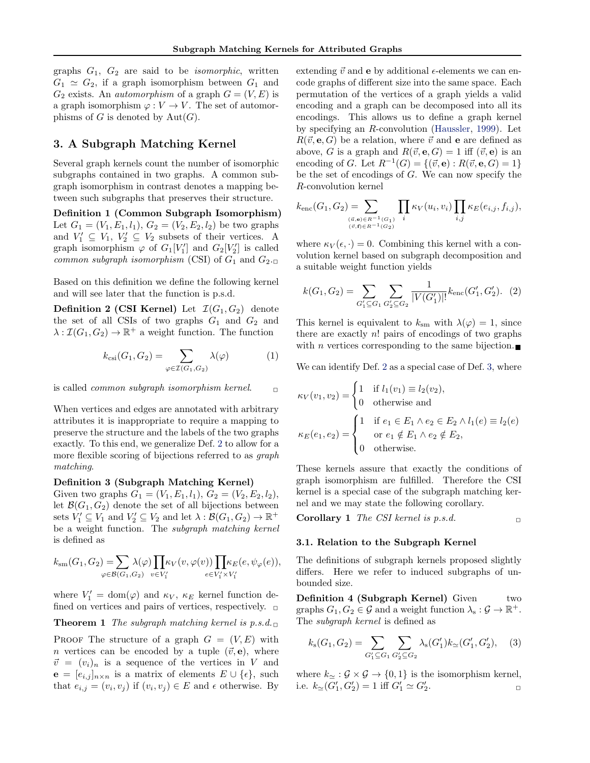<span id="page-2-0"></span>graphs  $G_1$ ,  $G_2$  are said to be *isomorphic*, written  $G_1 \simeq G_2$ , if a graph isomorphism between  $G_1$  and  $G_2$  exists. An *automorphism* of a graph  $G = (V, E)$  is a graph isomorphism  $\varphi: V \to V$ . The set of automorphisms of G is denoted by  $Aut(G)$ .

# 3. A Subgraph Matching Kernel

Several graph kernels count the number of isomorphic subgraphs contained in two graphs. A common subgraph isomorphism in contrast denotes a mapping between such subgraphs that preserves their structure.

Definition 1 (Common Subgraph Isomorphism) Let  $G_1 = (V_1, E_1, l_1), G_2 = (V_2, E_2, l_2)$  be two graphs and  $V'_1 \subseteq V_1$ ,  $V'_2 \subseteq V_2$  subsets of their vertices. A graph isomorphism  $\varphi$  of  $G_1[V_1']$  and  $G_2[V_2']$  is called common subgraph isomorphism (CSI) of  $G_1$  and  $G_2$ .

Based on this definition we define the following kernel and will see later that the function is p.s.d.

**Definition 2 (CSI Kernel)** Let  $\mathcal{I}(G_1, G_2)$  denote the set of all CSIs of two graphs  $G_1$  and  $G_2$  and  $\lambda: \mathcal{I}(G_1, G_2) \to \mathbb{R}^+$  a weight function. The function

$$
k_{\text{csi}}(G_1, G_2) = \sum_{\varphi \in \mathcal{I}(G_1, G_2)} \lambda(\varphi) \tag{1}
$$

is called *common subgraph isomorphism kernel.*  $\Box$ 

When vertices and edges are annotated with arbitrary attributes it is inappropriate to require a mapping to preserve the structure and the labels of the two graphs exactly. To this end, we generalize Def. 2 to allow for a more flexible scoring of bijections referred to as *graph* matching.

#### Definition 3 (Subgraph Matching Kernel)

Given two graphs  $G_1 = (V_1, E_1, l_1), G_2 = (V_2, E_2, l_2),$ let  $\mathcal{B}(G_1, G_2)$  denote the set of all bijections between sets  $V'_1 \subseteq V_1$  and  $V'_2 \subseteq V_2$  and let  $\lambda : \mathcal{B}(G_1, G_2) \to \mathbb{R}^+$ be a weight function. The subgraph matching kernel is defined as

$$
k_{\mathrm{sm}}(G_1,G_2) = \sum_{\varphi \in \mathcal{B}(G_1,G_2)} \lambda(\varphi) \prod_{v \in V_1'} \kappa_V(v,\varphi(v)) \prod_{e \in V_1' \times V_1'} \kappa_E(e,\psi_\varphi(e)),
$$

where  $V_1' = \text{dom}(\varphi)$  and  $\kappa_V$ ,  $\kappa_E$  kernel function defined on vertices and pairs of vertices, respectively.  $\Box$ 

**Theorem 1** The subgraph matching kernel is  $p.s.d.$ 

PROOF The structure of a graph  $G = (V, E)$  with *n* vertices can be encoded by a tuple  $(\vec{v}, e)$ , where  $\vec{v} = (v_i)_n$  is a sequence of the vertices in V and  $e = [e_{i,j}]_{n \times n}$  is a matrix of elements  $E \cup \{\epsilon\}$ , such that  $e_{i,j} = (v_i, v_j)$  if  $(v_i, v_j) \in E$  and  $\epsilon$  otherwise. By extending  $\vec{v}$  and **e** by additional  $\epsilon$ -elements we can encode graphs of different size into the same space. Each permutation of the vertices of a graph yields a valid encoding and a graph can be decomposed into all its encodings. This allows us to define a graph kernel by specifying an R-convolution [\(Haussler,](#page-7-0) [1999\)](#page-7-0). Let  $R(\vec{v}, e, G)$  be a relation, where  $\vec{v}$  and e are defined as above, G is a graph and  $R(\vec{v}, e, G) = 1$  iff  $(\vec{v}, e)$  is an encoding of G. Let  $R^{-1}(G) = \{(\vec{v}, e) : R(\vec{v}, e, G) = 1\}$ be the set of encodings of  $G$ . We can now specify the R-convolution kernel

$$
k_{\text{enc}}(G_1, G_2) = \sum_{\substack{(a, e) \in R^{-1}(G_1) \\ (\vec{v}, f) \in R^{-1}(G_2)}} \prod_i \kappa_V(u_i, v_i) \prod_{i, j} \kappa_E(e_{i, j}, f_{i, j}),
$$

where  $\kappa_V(\epsilon, \cdot) = 0$ . Combining this kernel with a convolution kernel based on subgraph decomposition and a suitable weight function yields

$$
k(G_1, G_2) = \sum_{G_1' \subseteq G_1} \sum_{G_2' \subseteq G_2} \frac{1}{|V(G_1')|!} k_{\text{enc}}(G_1', G_2').
$$
 (2)

This kernel is equivalent to  $k_{\rm sm}$  with  $\lambda(\varphi) = 1$ , since there are exactly  $n!$  pairs of encodings of two graphs with *n* vertices corresponding to the same bijection.

We can identify Def. 2 as a special case of Def. 3, where

$$
\kappa_V(v_1, v_2) = \begin{cases} 1 & \text{if } l_1(v_1) \equiv l_2(v_2), \\ 0 & \text{otherwise and} \end{cases}
$$

$$
\kappa_E(e_1, e_2) = \begin{cases} 1 & \text{if } e_1 \in E_1 \land e_2 \in E_2 \land l_1(e) \equiv l_2(e) \\ & \text{or } e_1 \notin E_1 \land e_2 \notin E_2, \\ 0 & \text{otherwise.} \end{cases}
$$

These kernels assure that exactly the conditions of graph isomorphism are fulfilled. Therefore the CSI kernel is a special case of the subgraph matching kernel and we may state the following corollary.

**Corollary 1** The CSI kernel is p.s.d.

#### 3.1. Relation to the Subgraph Kernel

The definitions of subgraph kernels proposed slightly differs. Here we refer to induced subgraphs of unbounded size.

Definition 4 (Subgraph Kernel) Given two graphs  $G_1, G_2 \in \mathcal{G}$  and a weight function  $\lambda_s : \mathcal{G} \to \mathbb{R}^+$ . The subgraph kernel is defined as

$$
k_{s}(G_1, G_2) = \sum_{G_1' \subseteq G_1} \sum_{G_2' \subseteq G_2} \lambda_{s}(G_1') k_{\simeq}(G_1', G_2'), \quad (3)
$$

where  $k \sim : \mathcal{G} \times \mathcal{G} \rightarrow \{0, 1\}$  is the isomorphism kernel, i.e.  $k_{\simeq}(G'_1, G'_2) = 1$  iff  $G'_1 \simeq G'_2$  $\blacksquare$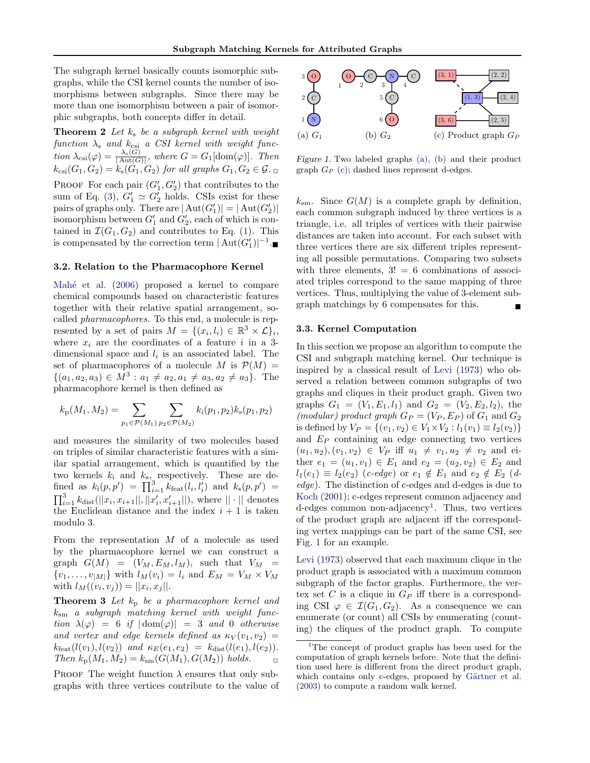<span id="page-3-0"></span>The subgraph kernel basically counts isomorphic subgraphs, while the CSI kernel counts the number of isomorphisms between subgraphs. Since there may be more than one isomorphism between a pair of isomorphic subgraphs, both concepts differ in detail.

**Theorem 2** Let  $k_s$  be a subgraph kernel with weight  $function \lambda_s$  and  $k_{\text{csi}}$  a CSI kernel with weight func- $\text{tion }\lambda_{\text{csi}}(\varphi) = \frac{\lambda_{\text{s}}(G)}{|\text{Aut}(G)|}$ , where  $G = G_1[\text{dom}(\varphi)]$ . Then  $k_{\text{csi}}(G_1, G_2) = k_{\text{s}}(G_1, G_2)$  for all graphs  $G_1, G_2 \in \mathcal{G}$ . PROOF For each pair  $(G'_1, G'_2)$  that contributes to the sum of Eq. [\(3\)](#page-2-0),  $G'_1 \simeq G'_2$  holds. CSIs exist for these pairs of graphs only. There are  $|\text{Aut}(G_1')| = |\text{Aut}(G_2')|$ isomorphism between  $G'_1$  and  $G'_2$ , each of which is contained in  $\mathcal{I}(G_1, G_2)$  and contributes to Eq. [\(1\)](#page-2-0). This is compensated by the correction term  $|\text{Aut}(G_1')|^{-1}$ .

#### 3.2. Relation to the Pharmacophore Kernel

Mahé et al.  $(2006)$  proposed a kernel to compare chemical compounds based on characteristic features together with their relative spatial arrangement, socalled pharmacophores. To this end, a molecule is represented by a set of pairs  $M = \{(x_i, l_i) \in \mathbb{R}^3 \times \mathcal{L}\}\$ i, where  $x_i$  are the coordinates of a feature i in a 3dimensional space and  $l_i$  is an associated label. The set of pharmacophores of a molecule M is  $\mathcal{P}(M) =$  $\{(a_1, a_2, a_3) \in M^3 : a_1 \neq a_2, a_1 \neq a_3, a_2 \neq a_3\}.$  The pharmacophore kernel is then defined as

$$
k_{\rm p}(M_1, M_2) = \sum_{p_1 \in \mathcal{P}(M_1)} \sum_{p_2 \in \mathcal{P}(M_2)} k_{\rm i}(p_1, p_2) k_{\rm s}(p_1, p_2)
$$

and measures the similarity of two molecules based on triples of similar characteristic features with a similar spatial arrangement, which is quantified by the two kernels  $k_i$  and  $k_{s_i}$  respectively. These are defined as  $k_i(p, p') = \prod_{i=1}^3 k_{\text{feat}}(l_i, l'_i)$  and  $k_s(p, p') =$  $\prod_{i=1}^{3} k_{\text{dist}}(||x_i, x_{i+1}||, ||x'_i, x'_{i+1}||),$  where  $|| \cdot ||$  denotes the Euclidean distance and the index  $i + 1$  is taken modulo 3.

From the representation  $M$  of a molecule as used by the pharmacophore kernel we can construct a graph  $G(M) = (V_M, E_M, l_M)$ , such that  $V_M =$  $\{v_1, \ldots, v_{|M|}\}\$  with  $l_M(v_i) = l_i$  and  $E_M = V_M \times V_M$ with  $l_M((v_i, v_j)) = ||x_i, x_j||$ .

**Theorem 3** Let  $k_p$  be a pharmacophore kernel and ksm a subgraph matching kernel with weight function  $\lambda(\varphi) = 6$  if  $|\text{dom}(\varphi)| = 3$  and 0 otherwise and vertex and edge kernels defined as  $\kappa_V(v_1, v_2)$  =  $k_{\text{feat}}(l(v_1), l(v_2))$  and  $\kappa_E(e_1, e_2) = k_{\text{dist}}(l(e_1), l(e_2)).$ Then  $k_p(M_1, M_2) = k_{sm}(G(M_1), G(M_2))$  holds.

PROOF The weight function  $\lambda$  ensures that only subgraphs with three vertices contribute to the value of



Figure 1. Two labeled graphs (a), (b) and their product graph  $G_P$  (c); dashed lines represent d-edges.

 $k_{\rm sm}$ . Since  $G(M)$  is a complete graph by definition, each common subgraph induced by three vertices is a triangle, i.e. all triples of vertices with their pairwise distances are taken into account. For each subset with three vertices there are six different triples representing all possible permutations. Comparing two subsets with three elements,  $3! = 6$  combinations of associated triples correspond to the same mapping of three vertices. Thus, multiplying the value of 3-element subgraph matchings by 6 compensates for this.

#### 3.3. Kernel Computation

In this section we propose an algorithm to compute the CSI and subgraph matching kernel. Our technique is inspired by a classical result of [Levi](#page-7-0) [\(1973\)](#page-7-0) who observed a relation between common subgraphs of two graphs and cliques in their product graph. Given two graphs  $G_1 = (V_1, E_1, l_1)$  and  $G_2 = (V_2, E_2, l_2)$ , the (modular) product graph  $G_P = (V_P, E_P)$  of  $G_1$  and  $G_2$ is defined by  $V_P = \{(v_1, v_2) \in V_1 \times V_2 : l_1(v_1) \equiv l_2(v_2)\}\$ and  $E_P$  containing an edge connecting two vertices  $(u_1, u_2), (v_1, v_2) \in V_P$  iff  $u_1 \neq v_1, u_2 \neq v_2$  and either  $e_1 = (u_1, v_1) \in E_1$  and  $e_2 = (u_2, v_2) \in E_2$  and  $l_1(e_1) \equiv l_2(e_2)$  (c-edge) or  $e_1 \notin E_1$  and  $e_2 \notin E_2$  (dedge). The distinction of c-edges and d-edges is due to [Koch](#page-7-0) [\(2001\)](#page-7-0); c-edges represent common adjacency and d-edges common non-adjacency<sup>1</sup>. Thus, two vertices of the product graph are adjacent iff the corresponding vertex mappings can be part of the same CSI, see Fig. 1 for an example.

[Levi](#page-7-0) [\(1973\)](#page-7-0) observed that each maximum clique in the product graph is associated with a maximum common subgraph of the factor graphs. Furthermore, the vertex set C is a clique in  $G_P$  iff there is a corresponding CSI  $\varphi \in \mathcal{I}(G_1, G_2)$ . As a consequence we can enumerate (or count) all CSIs by enumerating (counting) the cliques of the product graph. To compute

<sup>&</sup>lt;sup>1</sup>The concept of product graphs has been used for the computation of graph kernels before. Note that the definition used here is different from the direct product graph, which contains only c-edges, proposed by Gärtner et al. [\(2003\)](#page-7-0) to compute a random walk kernel.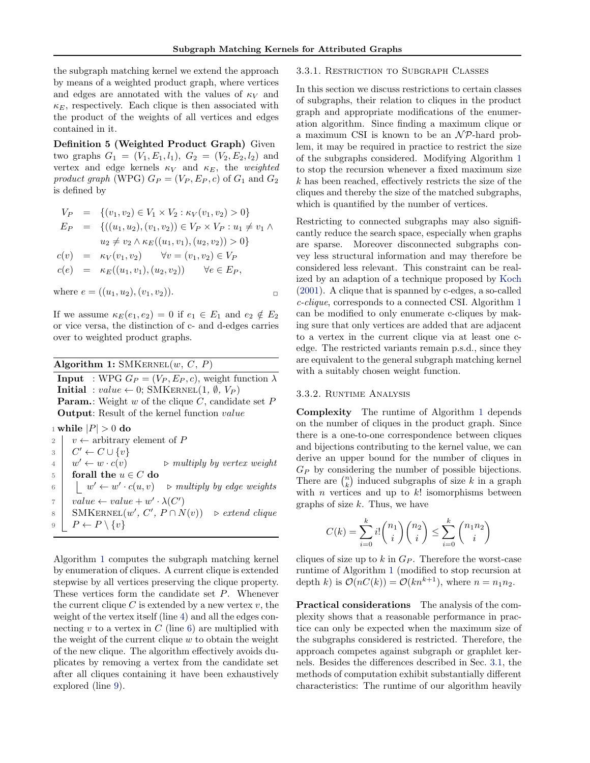the subgraph matching kernel we extend the approach by means of a weighted product graph, where vertices and edges are annotated with the values of  $\kappa_V$  and  $\kappa_E$ , respectively. Each clique is then associated with the product of the weights of all vertices and edges contained in it.

Definition 5 (Weighted Product Graph) Given two graphs  $G_1 = (V_1, E_1, l_1), G_2 = (V_2, E_2, l_2)$  and vertex and edge kernels  $\kappa_V$  and  $\kappa_E$ , the weighted product graph (WPG)  $G_P = (V_P, E_P, c)$  of  $G_1$  and  $G_2$ is defined by

$$
V_P = \{(v_1, v_2) \in V_1 \times V_2 : \kappa_V(v_1, v_2) > 0\}
$$
  
\n
$$
E_P = \{((u_1, u_2), (v_1, v_2)) \in V_P \times V_P : u_1 \neq v_1 \land u_2 \neq v_2 \land \kappa_E((u_1, v_1), (u_2, v_2)) > 0\}
$$
  
\n
$$
c(v) = \kappa_V(v_1, v_2) \quad \forall v = (v_1, v_2) \in V_P
$$
  
\n
$$
c(e) = \kappa_E((u_1, v_1), (u_2, v_2)) \quad \forall e \in E_P,
$$

where  $e = ((u_1, u_2), (v_1, v_2)).$ 

If we assume  $\kappa_E(e_1, e_2) = 0$  if  $e_1 \in E_1$  and  $e_2 \notin E_2$ or vice versa, the distinction of c- and d-edges carries over to weighted product graphs.

Algorithm 1:  $\text{SMKERNEL}(w, C, P)$ 

**Input** : WPG  $G_P = (V_P, E_P, c)$ , weight function  $\lambda$ Initial :  $value \leftarrow 0$ ; SMKERNEL $(1, \emptyset, V_P)$ **Param.**: Weight w of the clique  $C$ , candidate set  $P$ Output: Result of the kernel function value

1 while  $|P| > 0$  do

2 v ← arbitrary element of P 3  $C' \leftarrow C \cup \{v\}$  $4 \mid w' \leftarrow w \cdot c(v)$  $\triangleright$  multiply by vertex weight 5 forall the  $u \in C$  do 6  $\vert \psi' \leftarrow w' \cdot c(u, v)$   $\Rightarrow$  multiply by edge weights  $\tau \mid value \leftarrow value + w' \cdot \lambda(C')$ 8 SMKERNEL $(w', C', P \cap N(v))$  ⊳ extend clique 9  $P \leftarrow P \setminus \{v\}$ 

Algorithm 1 computes the subgraph matching kernel by enumeration of cliques. A current clique is extended stepwise by all vertices preserving the clique property. These vertices form the candidate set P. Whenever the current clique  $C$  is extended by a new vertex  $v$ , the weight of the vertex itself (line 4) and all the edges connecting  $v$  to a vertex in  $C$  (line 6) are multiplied with the weight of the current clique  $w$  to obtain the weight of the new clique. The algorithm effectively avoids duplicates by removing a vertex from the candidate set after all cliques containing it have been exhaustively explored (line 9).

### 3.3.1. Restriction to Subgraph Classes

In this section we discuss restrictions to certain classes of subgraphs, their relation to cliques in the product graph and appropriate modifications of the enumeration algorithm. Since finding a maximum clique or a maximum CSI is known to be an  $\mathcal{NP}$ -hard problem, it may be required in practice to restrict the size of the subgraphs considered. Modifying Algorithm 1 to stop the recursion whenever a fixed maximum size k has been reached, effectively restricts the size of the cliques and thereby the size of the matched subgraphs, which is quantified by the number of vertices.

Restricting to connected subgraphs may also significantly reduce the search space, especially when graphs are sparse. Moreover disconnected subgraphs convey less structural information and may therefore be considered less relevant. This constraint can be realized by an adaption of a technique proposed by [Koch](#page-7-0) [\(2001\)](#page-7-0). A clique that is spanned by c-edges, a so-called c-clique, corresponds to a connected CSI. Algorithm 1 can be modified to only enumerate c-cliques by making sure that only vertices are added that are adjacent to a vertex in the current clique via at least one cedge. The restricted variants remain p.s.d., since they are equivalent to the general subgraph matching kernel with a suitably chosen weight function.

#### 3.3.2. Runtime Analysis

Complexity The runtime of Algorithm 1 depends on the number of cliques in the product graph. Since there is a one-to-one correspondence between cliques and bijections contributing to the kernel value, we can derive an upper bound for the number of cliques in  $G_P$  by considering the number of possible bijections. There are  $\binom{n}{k}$  induced subgraphs of size k in a graph with  $n$  vertices and up to  $k!$  isomorphisms between graphs of size  $k$ . Thus, we have

$$
C(k) = \sum_{i=0}^{k} i! \binom{n_1}{i} \binom{n_2}{i} \le \sum_{i=0}^{k} \binom{n_1 n_2}{i}
$$

cliques of size up to  $k$  in  $G_P$ . Therefore the worst-case runtime of Algorithm 1 (modified to stop recursion at depth k) is  $\mathcal{O}(nC(k)) = \mathcal{O}(kn^{k+1})$ , where  $n = n_1 n_2$ .

Practical considerations The analysis of the complexity shows that a reasonable performance in practice can only be expected when the maximum size of the subgraphs considered is restricted. Therefore, the approach competes against subgraph or graphlet kernels. Besides the differences described in Sec. [3.1,](#page-2-0) the methods of computation exhibit substantially different characteristics: The runtime of our algorithm heavily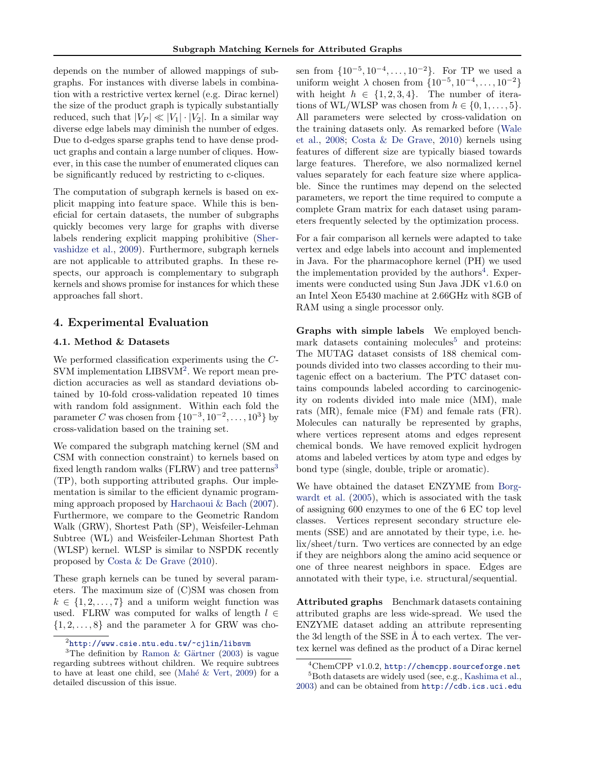depends on the number of allowed mappings of subgraphs. For instances with diverse labels in combination with a restrictive vertex kernel (e.g. Dirac kernel) the size of the product graph is typically substantially reduced, such that  $|V_P| \ll |V_1| \cdot |V_2|$ . In a similar way diverse edge labels may diminish the number of edges. Due to d-edges sparse graphs tend to have dense product graphs and contain a large number of cliques. However, in this case the number of enumerated cliques can be significantly reduced by restricting to c-cliques.

The computation of subgraph kernels is based on explicit mapping into feature space. While this is beneficial for certain datasets, the number of subgraphs quickly becomes very large for graphs with diverse labels rendering explicit mapping prohibitive [\(Sher](#page-7-0)[vashidze et al.,](#page-7-0) [2009\)](#page-7-0). Furthermore, subgraph kernels are not applicable to attributed graphs. In these respects, our approach is complementary to subgraph kernels and shows promise for instances for which these approaches fall short.

## 4. Experimental Evaluation

### 4.1. Method & Datasets

We performed classification experiments using the C-SVM implementation LIBSVM<sup>2</sup>. We report mean prediction accuracies as well as standard deviations obtained by 10-fold cross-validation repeated 10 times with random fold assignment. Within each fold the parameter C was chosen from  $\{10^{-3}, 10^{-2}, ..., 10^{3}\}$  by cross-validation based on the training set.

We compared the subgraph matching kernel (SM and CSM with connection constraint) to kernels based on fixed length random walks (FLRW) and tree patterns<sup>3</sup> (TP), both supporting attributed graphs. Our implementation is similar to the efficient dynamic programming approach proposed by [Harchaoui & Bach](#page-7-0) [\(2007\)](#page-7-0). Furthermore, we compare to the Geometric Random Walk (GRW), Shortest Path (SP), Weisfeiler-Lehman Subtree (WL) and Weisfeiler-Lehman Shortest Path (WLSP) kernel. WLSP is similar to NSPDK recently proposed by [Costa & De Grave](#page-7-0) [\(2010\)](#page-7-0).

These graph kernels can be tuned by several parameters. The maximum size of (C)SM was chosen from  $k \in \{1, 2, \ldots, 7\}$  and a uniform weight function was used. FLRW was computed for walks of length  $l \in$  $\{1, 2, \ldots, 8\}$  and the parameter  $\lambda$  for GRW was cho-

sen from  $\{10^{-5}, 10^{-4}, \ldots, 10^{-2}\}$ . For TP we used a uniform weight  $\lambda$  chosen from  $\{10^{-5}, 10^{-4}, \dots, 10^{-2}\}$ with height  $h \in \{1, 2, 3, 4\}$ . The number of iterations of WL/WLSP was chosen from  $h \in \{0, 1, \ldots, 5\}.$ All parameters were selected by cross-validation on the training datasets only. As remarked before [\(Wale](#page-7-0) [et al.,](#page-7-0) [2008;](#page-7-0) [Costa & De Grave,](#page-7-0) [2010\)](#page-7-0) kernels using features of different size are typically biased towards large features. Therefore, we also normalized kernel values separately for each feature size where applicable. Since the runtimes may depend on the selected parameters, we report the time required to compute a complete Gram matrix for each dataset using parameters frequently selected by the optimization process.

For a fair comparison all kernels were adapted to take vertex and edge labels into account and implemented in Java. For the pharmacophore kernel (PH) we used the implementation provided by the authors<sup>4</sup>. Experiments were conducted using Sun Java JDK v1.6.0 on an Intel Xeon E5430 machine at 2.66GHz with 8GB of RAM using a single processor only.

Graphs with simple labels We employed benchmark datasets containing molecules<sup>5</sup> and proteins: The MUTAG dataset consists of 188 chemical compounds divided into two classes according to their mutagenic effect on a bacterium. The PTC dataset contains compounds labeled according to carcinogenicity on rodents divided into male mice (MM), male rats (MR), female mice (FM) and female rats (FR). Molecules can naturally be represented by graphs, where vertices represent atoms and edges represent chemical bonds. We have removed explicit hydrogen atoms and labeled vertices by atom type and edges by bond type (single, double, triple or aromatic).

We have obtained the dataset ENZYME from [Borg](#page-6-0)[wardt et al.](#page-6-0) [\(2005\)](#page-6-0), which is associated with the task of assigning 600 enzymes to one of the 6 EC top level classes. Vertices represent secondary structure elements (SSE) and are annotated by their type, i.e. helix/sheet/turn. Two vertices are connected by an edge if they are neighbors along the amino acid sequence or one of three nearest neighbors in space. Edges are annotated with their type, i.e. structural/sequential.

Attributed graphs Benchmark datasets containing attributed graphs are less wide-spread. We used the ENZYME dataset adding an attribute representing the 3d length of the SSE in  $\AA$  to each vertex. The vertex kernel was defined as the product of a Dirac kernel

 $^2$ <http://www.csie.ntu.edu.tw/~cjlin/libsvm>

<sup>&</sup>lt;sup>3</sup>The definition by Ramon & Gärtner [\(2003\)](#page-7-0) is vague regarding subtrees without children. We require subtrees to have at least one child, see (Mahé  $&$  Vert, [2009\)](#page-7-0) for a detailed discussion of this issue.

<sup>4</sup>ChemCPP v1.0.2, <http://chemcpp.sourceforge.net> <sup>5</sup>Both datasets are widely used (see, e.g., [Kashima et al.,](#page-7-0) [2003\)](#page-7-0) and can be obtained from <http://cdb.ics.uci.edu>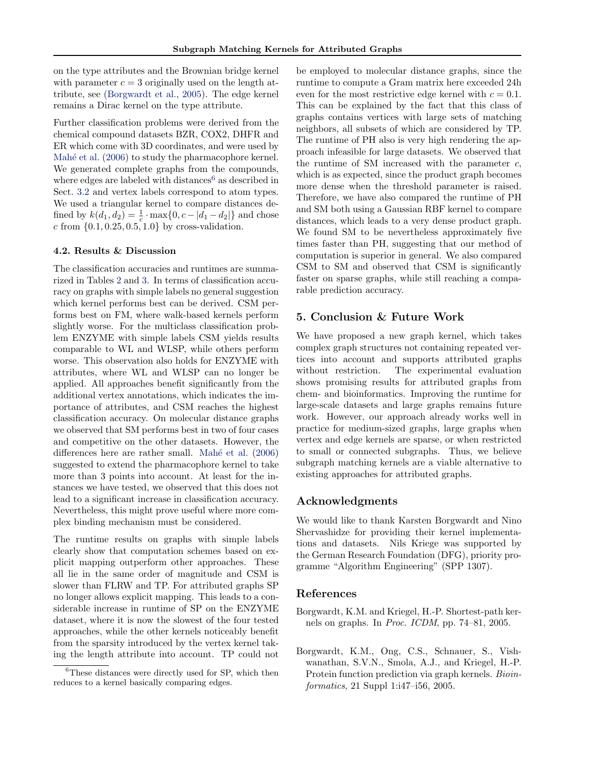<span id="page-6-0"></span>on the type attributes and the Brownian bridge kernel with parameter  $c = 3$  originally used on the length attribute, see (Borgwardt et al., 2005). The edge kernel remains a Dirac kernel on the type attribute.

Further classification problems were derived from the chemical compound datasets BZR, COX2, DHFR and ER which come with 3D coordinates, and were used by Mahé et al. [\(2006\)](#page-7-0) to study the pharmacophore kernel. We generated complete graphs from the compounds, where edges are labeled with distances<sup>6</sup> as described in Sect. [3.2](#page-3-0) and vertex labels correspond to atom types. We used a triangular kernel to compare distances defined by  $k(d_1, d_2) = \frac{1}{c} \cdot \max\{0, c - |d_1 - d_2|\}$  and chose c from  $\{0.1, 0.25, 0.5, 1.0\}$  by cross-validation.

#### 4.2. Results & Discussion

The classification accuracies and runtimes are summarized in Tables [2](#page-7-0) and [3.](#page-7-0) In terms of classification accuracy on graphs with simple labels no general suggestion which kernel performs best can be derived. CSM performs best on FM, where walk-based kernels perform slightly worse. For the multiclass classification problem ENZYME with simple labels CSM yields results comparable to WL and WLSP, while others perform worse. This observation also holds for ENZYME with attributes, where WL and WLSP can no longer be applied. All approaches benefit significantly from the additional vertex annotations, which indicates the importance of attributes, and CSM reaches the highest classification accuracy. On molecular distance graphs we observed that SM performs best in two of four cases and competitive on the other datasets. However, the differences here are rather small. Mahé et al. [\(2006\)](#page-7-0) suggested to extend the pharmacophore kernel to take more than 3 points into account. At least for the instances we have tested, we observed that this does not lead to a significant increase in classification accuracy. Nevertheless, this might prove useful where more complex binding mechanism must be considered.

The runtime results on graphs with simple labels clearly show that computation schemes based on explicit mapping outperform other approaches. These all lie in the same order of magnitude and CSM is slower than FLRW and TP. For attributed graphs SP no longer allows explicit mapping. This leads to a considerable increase in runtime of SP on the ENZYME dataset, where it is now the slowest of the four tested approaches, while the other kernels noticeably benefit from the sparsity introduced by the vertex kernel taking the length attribute into account. TP could not

be employed to molecular distance graphs, since the runtime to compute a Gram matrix here exceeded 24h even for the most restrictive edge kernel with  $c = 0.1$ . This can be explained by the fact that this class of graphs contains vertices with large sets of matching neighbors, all subsets of which are considered by TP. The runtime of PH also is very high rendering the approach infeasible for large datasets. We observed that the runtime of SM increased with the parameter  $c$ , which is as expected, since the product graph becomes more dense when the threshold parameter is raised. Therefore, we have also compared the runtime of PH and SM both using a Gaussian RBF kernel to compare distances, which leads to a very dense product graph. We found SM to be nevertheless approximately five times faster than PH, suggesting that our method of computation is superior in general. We also compared CSM to SM and observed that CSM is significantly faster on sparse graphs, while still reaching a comparable prediction accuracy.

## 5. Conclusion & Future Work

We have proposed a new graph kernel, which takes complex graph structures not containing repeated vertices into account and supports attributed graphs without restriction. The experimental evaluation shows promising results for attributed graphs from chem- and bioinformatics. Improving the runtime for large-scale datasets and large graphs remains future work. However, our approach already works well in practice for medium-sized graphs, large graphs when vertex and edge kernels are sparse, or when restricted to small or connected subgraphs. Thus, we believe subgraph matching kernels are a viable alternative to existing approaches for attributed graphs.

## Acknowledgments

We would like to thank Karsten Borgwardt and Nino Shervashidze for providing their kernel implementations and datasets. Nils Kriege was supported by the German Research Foundation (DFG), priority programme "Algorithm Engineering" (SPP 1307).

## References

- Borgwardt, K.M. and Kriegel, H.-P. Shortest-path kernels on graphs. In Proc. ICDM, pp. 74–81, 2005.
- Borgwardt, K.M., Ong, C.S., Schnauer, S., Vishwanathan, S.V.N., Smola, A.J., and Kriegel, H.-P. Protein function prediction via graph kernels. Bioinformatics, 21 Suppl 1:i47–i56, 2005.

<sup>&</sup>lt;sup>6</sup>These distances were directly used for SP, which then reduces to a kernel basically comparing edges.